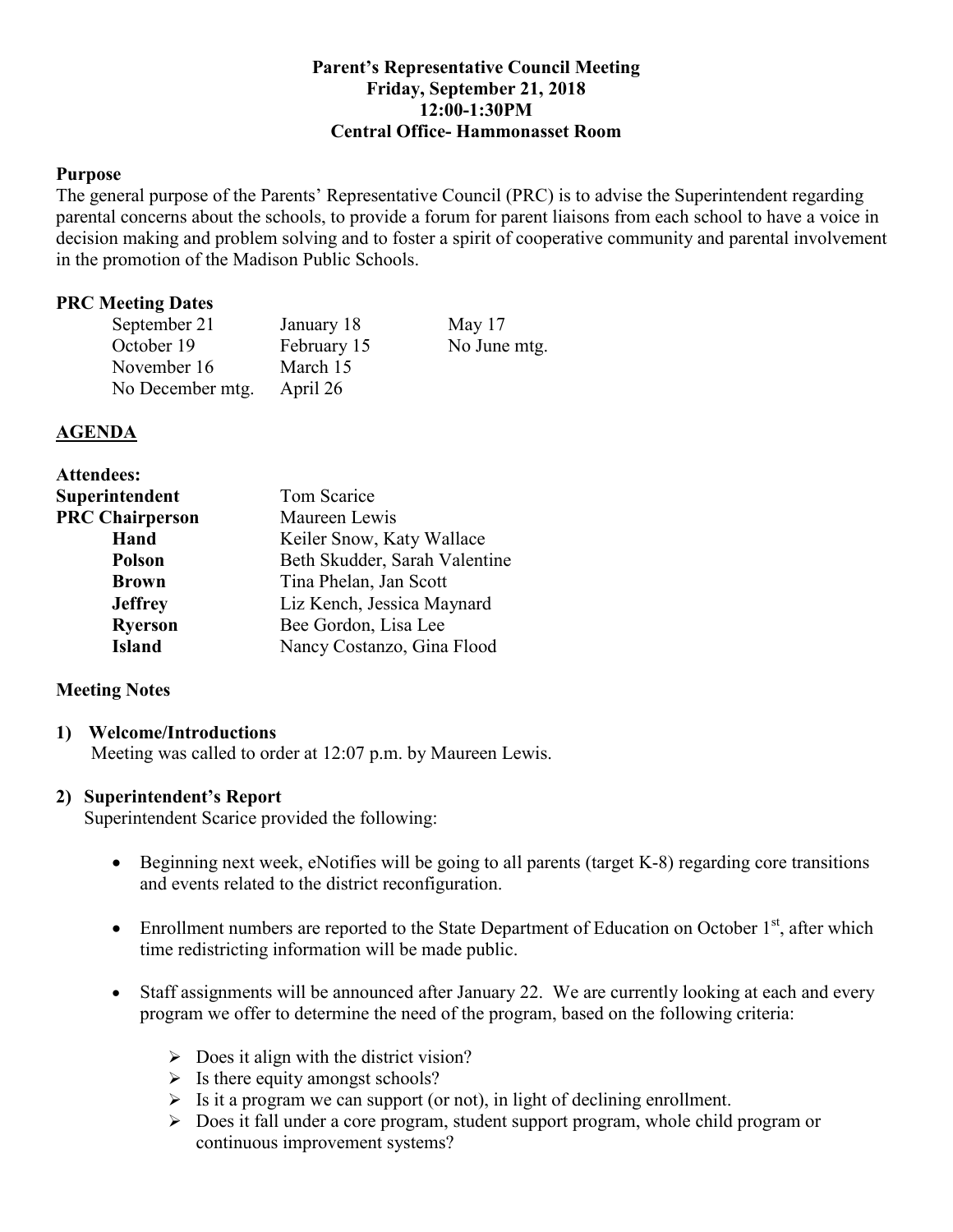### **Parent's Representative Council Meeting Friday, September 21, 2018 12:00-1:30PM Central Office- Hammonasset Room**

### **Purpose**

The general purpose of the Parents' Representative Council (PRC) is to advise the Superintendent regarding parental concerns about the schools, to provide a forum for parent liaisons from each school to have a voice in decision making and problem solving and to foster a spirit of cooperative community and parental involvement in the promotion of the Madison Public Schools.

### **PRC Meeting Dates**

| September 21     | January 18  | May $17$     |
|------------------|-------------|--------------|
| October 19       | February 15 | No June mtg. |
| November 16      | March 15    |              |
| No December mtg. | April 26    |              |

#### **AGENDA**

| <b>Attendees:</b>      |                               |  |
|------------------------|-------------------------------|--|
| Superintendent         | Tom Scarice                   |  |
| <b>PRC Chairperson</b> | Maureen Lewis                 |  |
| Hand                   | Keiler Snow, Katy Wallace     |  |
| <b>Polson</b>          | Beth Skudder, Sarah Valentine |  |
| <b>Brown</b>           | Tina Phelan, Jan Scott        |  |
| <b>Jeffrey</b>         | Liz Kench, Jessica Maynard    |  |
| <b>Ryerson</b>         | Bee Gordon, Lisa Lee          |  |
| <b>Island</b>          | Nancy Costanzo, Gina Flood    |  |

### **Meeting Notes**

#### **1) Welcome/Introductions**

Meeting was called to order at 12:07 p.m. by Maureen Lewis.

### **2) Superintendent's Report**

Superintendent Scarice provided the following:

- Beginning next week, eNotifies will be going to all parents (target K-8) regarding core transitions and events related to the district reconfiguration.
- Enrollment numbers are reported to the State Department of Education on October  $1<sup>st</sup>$ , after which time redistricting information will be made public.
- Staff assignments will be announced after January 22. We are currently looking at each and every program we offer to determine the need of the program, based on the following criteria:
	- $\triangleright$  Does it align with the district vision?
	- $\triangleright$  Is there equity amongst schools?
	- $\triangleright$  Is it a program we can support (or not), in light of declining enrollment.
	- Does it fall under a core program, student support program, whole child program or continuous improvement systems?